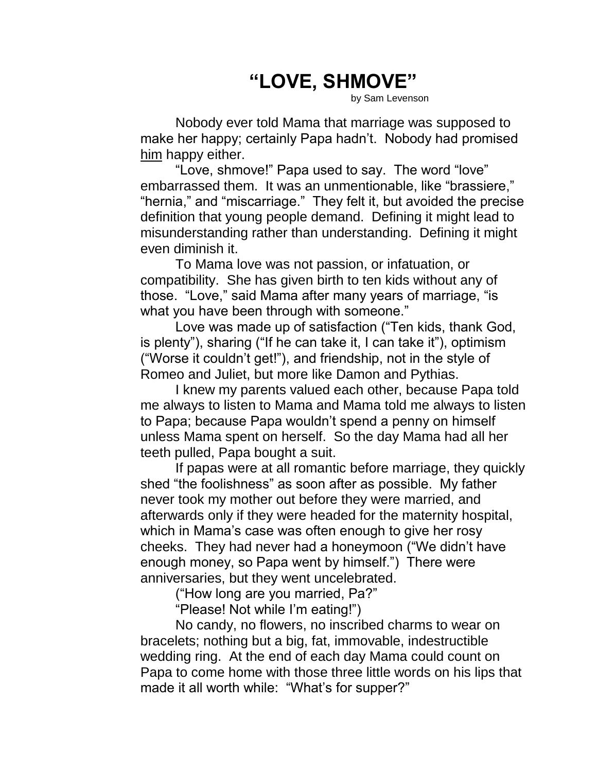## **"LOVE, SHMOVE"**

by Sam Levenson

Nobody ever told Mama that marriage was supposed to make her happy; certainly Papa hadn't. Nobody had promised him happy either.

"Love, shmove!" Papa used to say. The word "love" embarrassed them. It was an unmentionable, like "brassiere," "hernia," and "miscarriage." They felt it, but avoided the precise definition that young people demand. Defining it might lead to misunderstanding rather than understanding. Defining it might even diminish it.

To Mama love was not passion, or infatuation, or compatibility. She has given birth to ten kids without any of those. "Love," said Mama after many years of marriage, "is what you have been through with someone."

Love was made up of satisfaction ("Ten kids, thank God, is plenty"), sharing ("If he can take it, I can take it"), optimism ("Worse it couldn't get!"), and friendship, not in the style of Romeo and Juliet, but more like Damon and Pythias.

I knew my parents valued each other, because Papa told me always to listen to Mama and Mama told me always to listen to Papa; because Papa wouldn't spend a penny on himself unless Mama spent on herself. So the day Mama had all her teeth pulled, Papa bought a suit.

If papas were at all romantic before marriage, they quickly shed "the foolishness" as soon after as possible. My father never took my mother out before they were married, and afterwards only if they were headed for the maternity hospital, which in Mama's case was often enough to give her rosy cheeks. They had never had a honeymoon ("We didn't have enough money, so Papa went by himself.") There were anniversaries, but they went uncelebrated.

("How long are you married, Pa?"

"Please! Not while I'm eating!")

No candy, no flowers, no inscribed charms to wear on bracelets; nothing but a big, fat, immovable, indestructible wedding ring. At the end of each day Mama could count on Papa to come home with those three little words on his lips that made it all worth while: "What's for supper?"